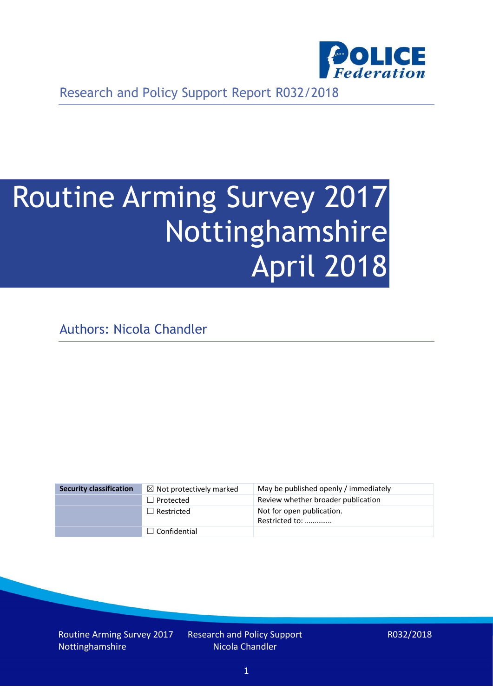

Research and Policy Support Report R032/2018

# Routine Arming Survey 2017 Nottinghamshire April 2018

Authors: Nicola Chandler

| <b>Security classification</b> | $\boxtimes$ Not protectively marked | May be published openly / immediately       |
|--------------------------------|-------------------------------------|---------------------------------------------|
|                                | $\Box$ Protected                    | Review whether broader publication          |
|                                | $\Box$ Restricted                   | Not for open publication.<br>Restricted to: |
|                                | $\Box$ Confidential                 |                                             |

Routine Arming Survey 2017 Nottinghamshire

Research and Policy Support Nicola Chandler

R032/2018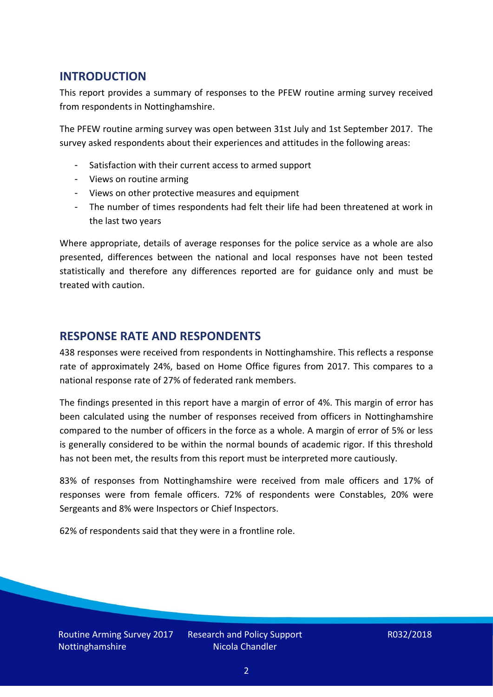## **INTRODUCTION**

This report provides a summary of responses to the PFEW routine arming survey received from respondents in Nottinghamshire.

The PFEW routine arming survey was open between 31st July and 1st September 2017. The survey asked respondents about their experiences and attitudes in the following areas:

- Satisfaction with their current access to armed support
- Views on routine arming
- Views on other protective measures and equipment
- The number of times respondents had felt their life had been threatened at work in the last two years

Where appropriate, details of average responses for the police service as a whole are also presented, differences between the national and local responses have not been tested statistically and therefore any differences reported are for guidance only and must be treated with caution.

#### **RESPONSE RATE AND RESPONDENTS**

438 responses were received from respondents in Nottinghamshire. This reflects a response rate of approximately 24%, based on Home Office figures from 2017. This compares to a national response rate of 27% of federated rank members.

The findings presented in this report have a margin of error of 4%. This margin of error has been calculated using the number of responses received from officers in Nottinghamshire compared to the number of officers in the force as a whole. A margin of error of 5% or less is generally considered to be within the normal bounds of academic rigor. If this threshold has not been met, the results from this report must be interpreted more cautiously.

83% of responses from Nottinghamshire were received from male officers and 17% of responses were from female officers. 72% of respondents were Constables, 20% were Sergeants and 8% were Inspectors or Chief Inspectors.

62% of respondents said that they were in a frontline role.

Routine Arming Survey 2017 Nottinghamshire

Research and Policy Support Nicola Chandler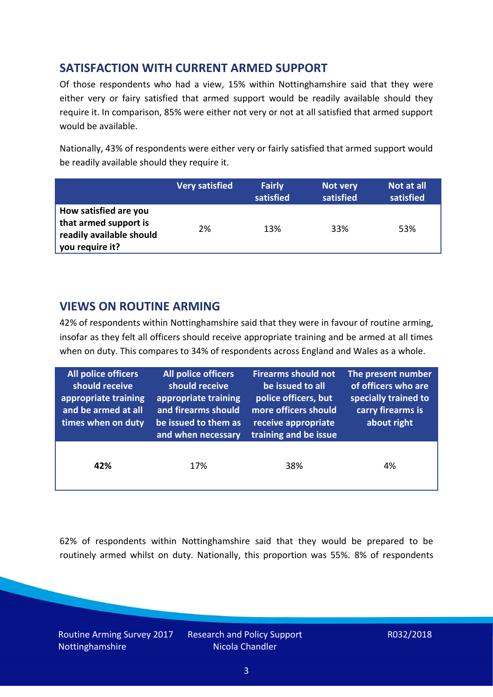## **SATISFACTION WITH CURRENT ARMED SUPPORT**

Of those respondents who had a view, 15% within Nottinghamshire said that they were either very or fairy satisfied that armed support would be readily available should they require it. In comparison, 85% were either not very or not at all satisfied that armed support would be available.

Nationally, 43% of respondents were either very or fairly satisfied that armed support would be readily available should they require it.

|                                                                                               | <b>Very satisfied</b> | <b>Fairly</b><br>satisfied | Not very<br>satisfied | Not at all<br>satisfied |
|-----------------------------------------------------------------------------------------------|-----------------------|----------------------------|-----------------------|-------------------------|
| How satisfied are you<br>that armed support is<br>readily available should<br>you require it? | 2%                    | 13%                        | 33%                   | 53%                     |

## **VIEWS ON ROUTINE ARMING**

42% of respondents within Nottinghamshire said that they were in favour of routine arming, insofar as they felt all officers should receive appropriate training and be armed at all times when on duty. This compares to 34% of respondents across England and Wales as a whole.

| All police officers<br>should receive<br>appropriate training<br>and be armed at all<br>times when on duty | All police officers<br>should receive<br>appropriate training<br>and firearms should<br>be issued to them as<br>and when necessary | <b>Firearms should not</b><br>be issued to all<br>police officers, but<br>more officers should<br>receive appropriate<br>training and be issue | The present number<br>of officers who are<br>specially trained to<br>carry firearms is<br>about right |  |
|------------------------------------------------------------------------------------------------------------|------------------------------------------------------------------------------------------------------------------------------------|------------------------------------------------------------------------------------------------------------------------------------------------|-------------------------------------------------------------------------------------------------------|--|
| 42%                                                                                                        | 17%                                                                                                                                | 38%                                                                                                                                            | 4%                                                                                                    |  |

62% of respondents within Nottinghamshire said that they would be prepared to be routinely armed whilst on duty. Nationally, this proportion was 55%. 8% of respondents

Routine Arming Survey 2017 Nottinghamshire

Research and Policy Support Nicola Chandler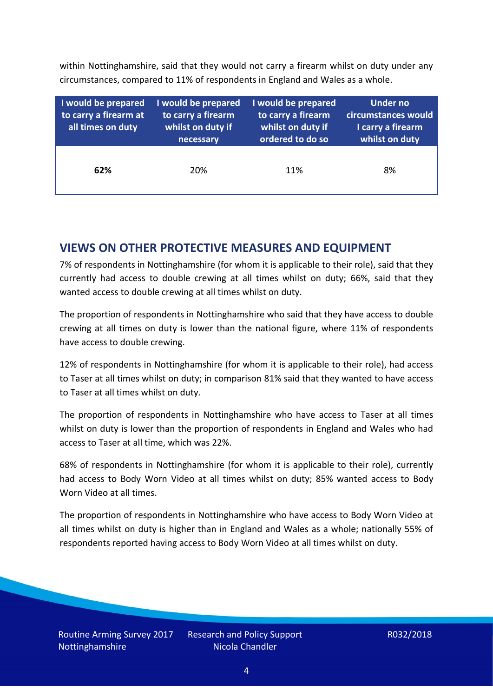within Nottinghamshire, said that they would not carry a firearm whilst on duty under any circumstances, compared to 11% of respondents in England and Wales as a whole.

| I would be prepared<br>to carry a firearm at<br>all times on duty | I would be prepared<br>to carry a firearm<br>whilst on duty if<br>necessary | I would be prepared<br>to carry a firearm<br>whilst on duty if<br>ordered to do so | <b>Under no</b><br>circumstances would<br>I carry a firearm<br>whilst on duty |
|-------------------------------------------------------------------|-----------------------------------------------------------------------------|------------------------------------------------------------------------------------|-------------------------------------------------------------------------------|
| 62%                                                               | 20%                                                                         | 11%                                                                                | 8%                                                                            |

### **VIEWS ON OTHER PROTECTIVE MEASURES AND EQUIPMENT**

7% of respondents in Nottinghamshire (for whom it is applicable to their role), said that they currently had access to double crewing at all times whilst on duty; 66%, said that they wanted access to double crewing at all times whilst on duty.

The proportion of respondents in Nottinghamshire who said that they have access to double crewing at all times on duty is lower than the national figure, where 11% of respondents have access to double crewing.

12% of respondents in Nottinghamshire (for whom it is applicable to their role), had access to Taser at all times whilst on duty; in comparison 81% said that they wanted to have access to Taser at all times whilst on duty.

The proportion of respondents in Nottinghamshire who have access to Taser at all times whilst on duty is lower than the proportion of respondents in England and Wales who had access to Taser at all time, which was 22%.

68% of respondents in Nottinghamshire (for whom it is applicable to their role), currently had access to Body Worn Video at all times whilst on duty; 85% wanted access to Body Worn Video at all times.

The proportion of respondents in Nottinghamshire who have access to Body Worn Video at all times whilst on duty is higher than in England and Wales as a whole; nationally 55% of respondents reported having access to Body Worn Video at all times whilst on duty.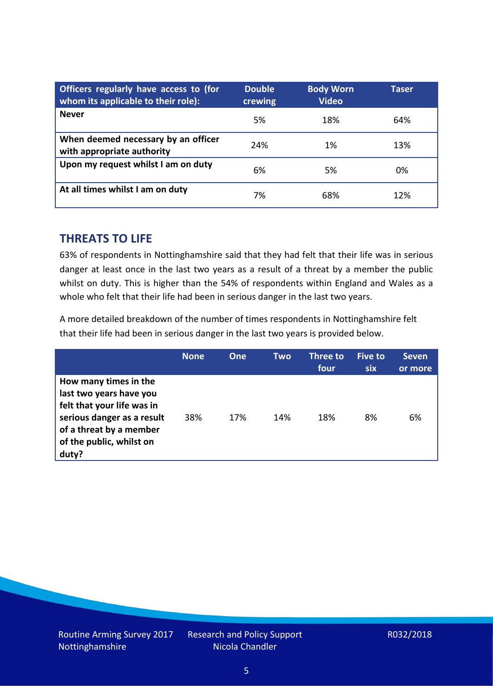| Officers regularly have access to (for<br>whom its applicable to their role): | <b>Double</b><br>crewing | <b>Body Worn</b><br><b>Video</b> | Taser |
|-------------------------------------------------------------------------------|--------------------------|----------------------------------|-------|
| <b>Never</b>                                                                  | 5%                       | 18%                              | 64%   |
| When deemed necessary by an officer<br>with appropriate authority             | 24%                      | 1%                               | 13%   |
| Upon my request whilst I am on duty                                           | 6%                       | 5%                               | 0%    |
| At all times whilst I am on duty                                              | 7%                       | 68%                              | 12%   |

#### **THREATS TO LIFE**

63% of respondents in Nottinghamshire said that they had felt that their life was in serious danger at least once in the last two years as a result of a threat by a member the public whilst on duty. This is higher than the 54% of respondents within England and Wales as a whole who felt that their life had been in serious danger in the last two years.

A more detailed breakdown of the number of times respondents in Nottinghamshire felt that their life had been in serious danger in the last two years is provided below.

|                                                                                                                                                                              | <b>None</b> | One | Two | Three to<br>four | Five to<br><b>six</b> | <b>Seven</b><br>or more |
|------------------------------------------------------------------------------------------------------------------------------------------------------------------------------|-------------|-----|-----|------------------|-----------------------|-------------------------|
| How many times in the<br>last two years have you<br>felt that your life was in<br>serious danger as a result<br>of a threat by a member<br>of the public, whilst on<br>duty? | 38%         | 17% | 14% | 18%              | 8%                    | 6%                      |

Research and Policy Support Nicola Chandler